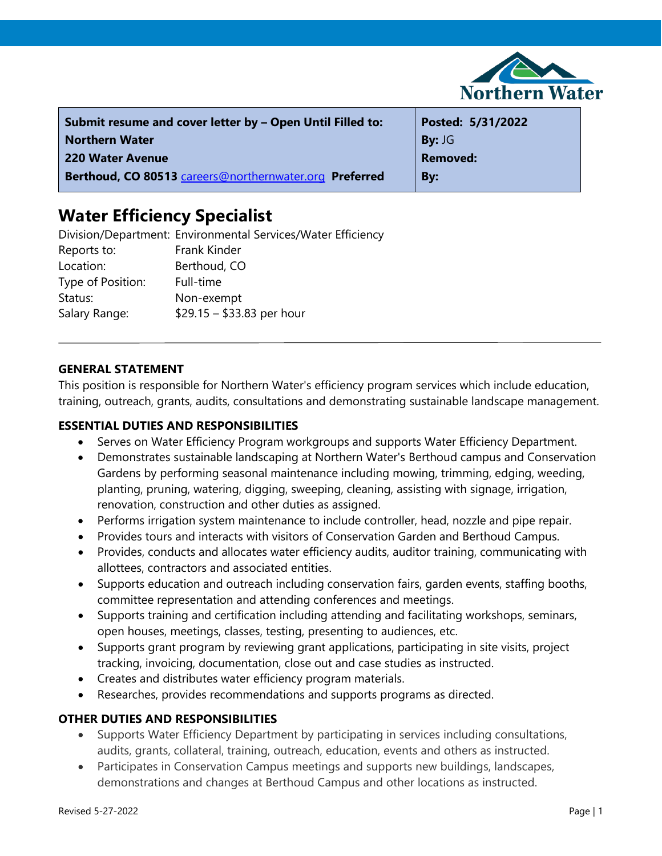

| Submit resume and cover letter by - Open Until Filled to: | Posted: 5/31/2022 |
|-----------------------------------------------------------|-------------------|
| <b>Northern Water</b>                                     | By: JG            |
| 220 Water Avenue                                          | <b>Removed:</b>   |
| Berthoud, CO 80513 careers@northernwater.org Preferred    | By:               |

# **Water Efficiency Specialist**

Division/Department: Environmental Services/Water Efficiency Reports to: Frank Kinder Location: Berthoud, CO Type of Position: Full-time Status: Non-exempt Salary Range: \$29.15 – \$33.83 per hour

## **GENERAL STATEMENT**

This position is responsible for Northern Water's efficiency program services which include education, training, outreach, grants, audits, consultations and demonstrating sustainable landscape management.

#### **ESSENTIAL DUTIES AND RESPONSIBILITIES**

- Serves on Water Efficiency Program workgroups and supports Water Efficiency Department.
- Demonstrates sustainable landscaping at Northern Water's Berthoud campus and Conservation Gardens by performing seasonal maintenance including mowing, trimming, edging, weeding, planting, pruning, watering, digging, sweeping, cleaning, assisting with signage, irrigation, renovation, construction and other duties as assigned.
- Performs irrigation system maintenance to include controller, head, nozzle and pipe repair.
- Provides tours and interacts with visitors of Conservation Garden and Berthoud Campus.
- Provides, conducts and allocates water efficiency audits, auditor training, communicating with allottees, contractors and associated entities.
- Supports education and outreach including conservation fairs, garden events, staffing booths, committee representation and attending conferences and meetings.
- Supports training and certification including attending and facilitating workshops, seminars, open houses, meetings, classes, testing, presenting to audiences, etc.
- Supports grant program by reviewing grant applications, participating in site visits, project tracking, invoicing, documentation, close out and case studies as instructed.
- Creates and distributes water efficiency program materials.
- Researches, provides recommendations and supports programs as directed.

## **OTHER DUTIES AND RESPONSIBILITIES**

- Supports Water Efficiency Department by participating in services including consultations, audits, grants, collateral, training, outreach, education, events and others as instructed.
- Participates in Conservation Campus meetings and supports new buildings, landscapes, demonstrations and changes at Berthoud Campus and other locations as instructed.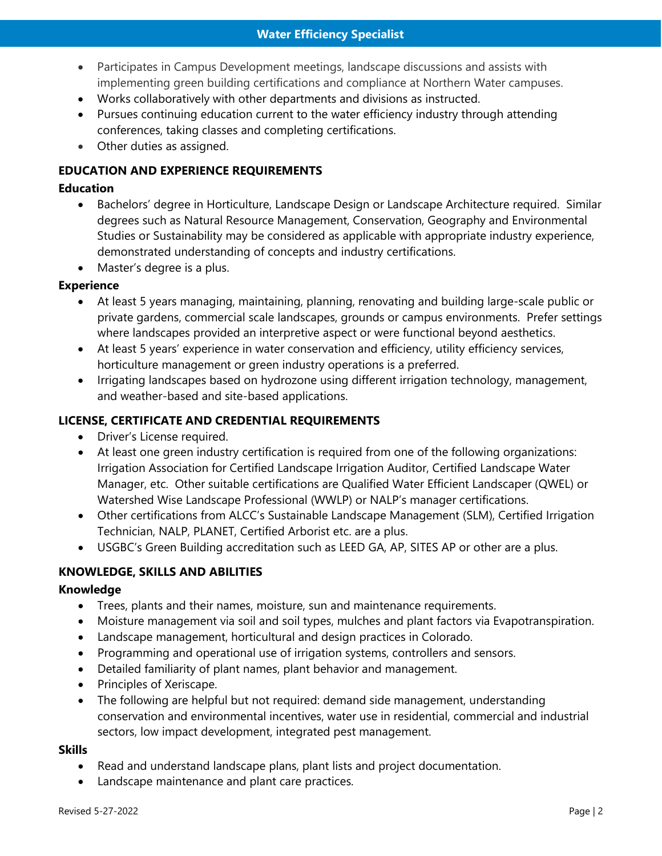- Participates in Campus Development meetings, landscape discussions and assists with implementing green building certifications and compliance at Northern Water campuses.
- Works collaboratively with other departments and divisions as instructed.
- Pursues continuing education current to the water efficiency industry through attending conferences, taking classes and completing certifications.
- Other duties as assigned.

## **EDUCATION AND EXPERIENCE REQUIREMENTS**

## **Education**

- Bachelors' degree in Horticulture, Landscape Design or Landscape Architecture required. Similar degrees such as Natural Resource Management, Conservation, Geography and Environmental Studies or Sustainability may be considered as applicable with appropriate industry experience, demonstrated understanding of concepts and industry certifications.
- Master's degree is a plus.

## **Experience**

- At least 5 years managing, maintaining, planning, renovating and building large-scale public or private gardens, commercial scale landscapes, grounds or campus environments. Prefer settings where landscapes provided an interpretive aspect or were functional beyond aesthetics.
- At least 5 years' experience in water conservation and efficiency, utility efficiency services, horticulture management or green industry operations is a preferred.
- Irrigating landscapes based on hydrozone using different irrigation technology, management, and weather-based and site-based applications.

## **LICENSE, CERTIFICATE AND CREDENTIAL REQUIREMENTS**

- Driver's License required.
- At least one green industry certification is required from one of the following organizations: Irrigation Association for Certified Landscape Irrigation Auditor, Certified Landscape Water Manager, etc. Other suitable certifications are Qualified Water Efficient Landscaper (QWEL) or Watershed Wise Landscape Professional (WWLP) or NALP's manager certifications.
- Other certifications from ALCC's Sustainable Landscape Management (SLM), Certified Irrigation Technician, NALP, PLANET, Certified Arborist etc. are a plus.
- USGBC's Green Building accreditation such as LEED GA, AP, SITES AP or other are a plus.

## **KNOWLEDGE, SKILLS AND ABILITIES**

## **Knowledge**

- Trees, plants and their names, moisture, sun and maintenance requirements.
- Moisture management via soil and soil types, mulches and plant factors via Evapotranspiration.
- Landscape management, horticultural and design practices in Colorado.
- Programming and operational use of irrigation systems, controllers and sensors.
- Detailed familiarity of plant names, plant behavior and management.
- Principles of Xeriscape.
- The following are helpful but not required: demand side management, understanding conservation and environmental incentives, water use in residential, commercial and industrial sectors, low impact development, integrated pest management.

## **Skills**

- Read and understand landscape plans, plant lists and project documentation.
- Landscape maintenance and plant care practices.